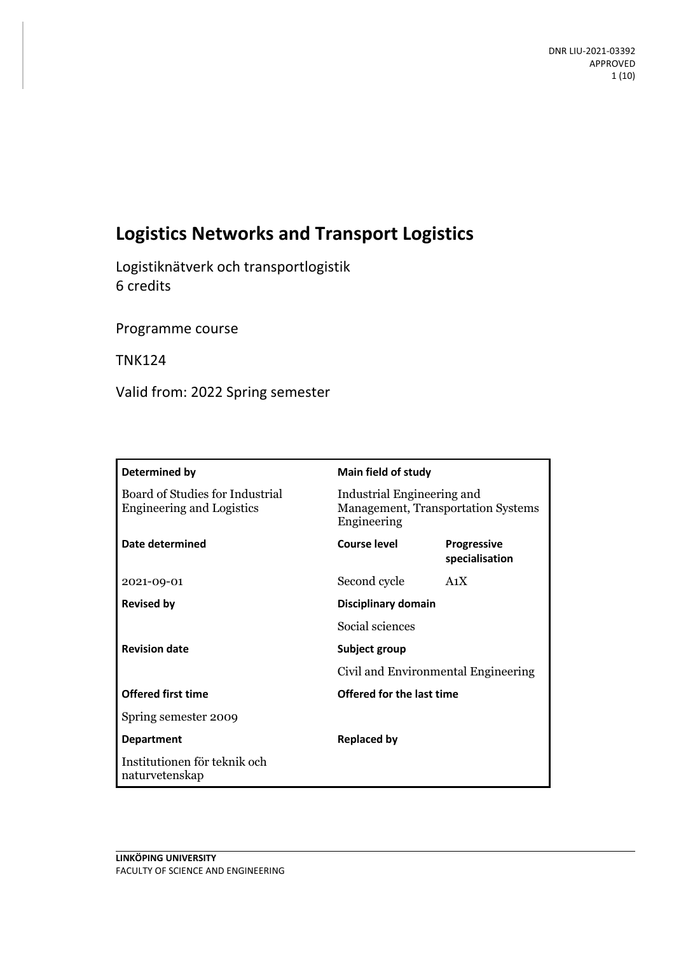# **Logistics Networks and Transport Logistics**

Logistiknätverk och transportlogistik 6 credits

Programme course

TNK124

Valid from: 2022 Spring semester

| Determined by                                                       |                                                      | Main field of study                                                     |  |
|---------------------------------------------------------------------|------------------------------------------------------|-------------------------------------------------------------------------|--|
| Board of Studies for Industrial<br><b>Engineering and Logistics</b> | Engineering                                          | Industrial Engineering and<br><b>Management, Transportation Systems</b> |  |
| Date determined                                                     | Course level                                         | <b>Progressive</b><br>specialisation                                    |  |
| 2021-09-01                                                          | Second cycle                                         | A <sub>1</sub> X                                                        |  |
| <b>Revised by</b>                                                   |                                                      | Disciplinary domain                                                     |  |
|                                                                     | Social sciences                                      |                                                                         |  |
| <b>Revision date</b>                                                | Subject group<br>Civil and Environmental Engineering |                                                                         |  |
|                                                                     |                                                      |                                                                         |  |
| <b>Offered first time</b>                                           |                                                      | <b>Offered for the last time</b>                                        |  |
| Spring semester 2009                                                |                                                      |                                                                         |  |
| <b>Department</b>                                                   | <b>Replaced by</b>                                   |                                                                         |  |
| Institutionen för teknik och<br>naturvetenskap                      |                                                      |                                                                         |  |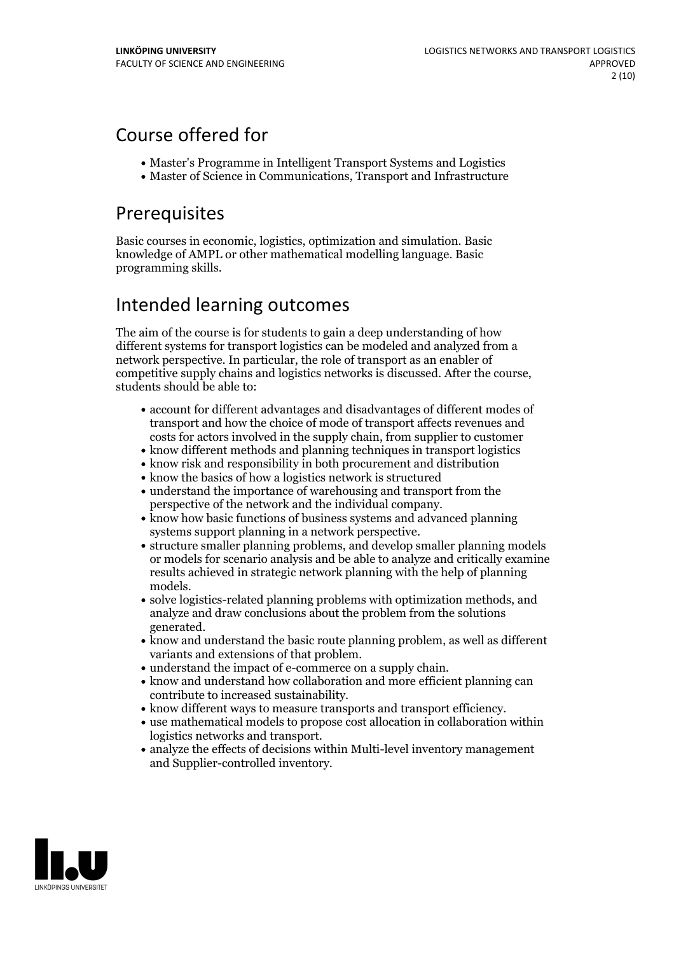## Course offered for

- Master's Programme in Intelligent Transport Systems and Logistics
- Master of Science in Communications, Transport and Infrastructure

## Prerequisites

Basic courses in economic, logistics, optimization and simulation. Basic knowledge of AMPL or other mathematical modelling language. Basic programming skills.

## Intended learning outcomes

The aim of the course is for students to gain a deep understanding of how different systems for transport logistics can be modeled and analyzed from a network perspective. In particular, the role of transport as an enabler of competitive supply chains and logistics networks is discussed. After the course, students should be able to:

- account for different advantages and disadvantages of different modes of transport and how the choice of mode of transport affects revenues and costs for actors involved in the supply chain, from supplier to customer
- know different methods and planning techniques in transport logistics
- know risk and responsibility in both procurement and distribution
- know the basics of how a logistics network is structured
- understand the importance of warehousing and transport from the
- perspective of the network and the individual company.<br>• know how basic functions of business systems and advanced planning
- systems support planning in a network perspective.<br>• structure smaller planning problems, and develop smaller planning models or models for scenario analysis and be able to analyze and critically examine results achieved in strategic network planning with the help of planning
- models.<br>• solve logistics-related planning problems with optimization methods, and analyze and draw conclusions about the problem from the solutions
- generated.<br>• know and understand the basic route planning problem, as well as different variants and extensions of that problem.<br>• understand the impact of e-commerce on a supply chain.<br>• know and understand how collaboration and more efficient planning can
- 
- contribute to increased sustainability.<br>• know different ways to measure transports and transport efficiency.<br>• use mathematical models to propose cost allocation in collaboration within
- 
- logistics networks and transport.<br>• analyze the effects of decisions within Multi-level inventory management
- and Supplier-controlled inventory.

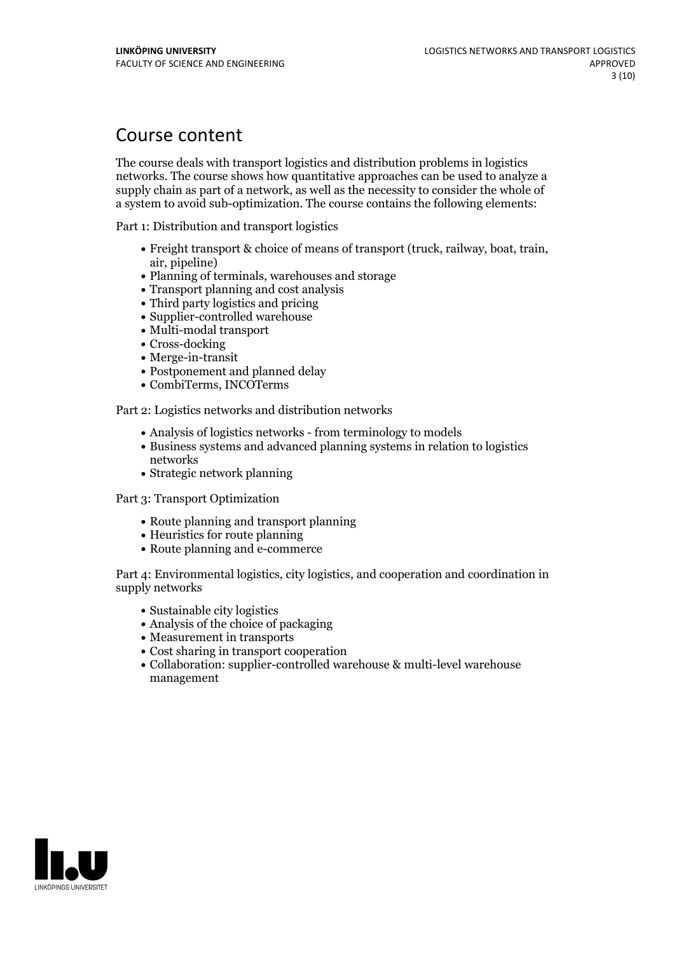## Course content

The course deals with transport logistics and distribution problems in logistics networks. The course shows how quantitative approaches can be used to analyze a supply chain as part of a network, as well as the necessity to consider the whole of a system to avoid sub-optimization. The course contains the following elements:

Part 1: Distribution and transport logistics

- Freight transport & choice of means of transport (truck, railway, boat, train, air, pipeline)
- Planning of terminals, warehouses and storage
- Transport planning and cost analysis
- Third party logistics and pricing
- Supplier-controlled warehouse
- Multi-modal transport
- Cross-docking
- Merge-in-transit
- Postponement and planned delay
- CombiTerms, INCOTerms

Part 2: Logistics networks and distribution networks

- Analysis of logistics networks from terminology to models
- Business systems and advanced planning systems in relation to logistics networks
- Strategic network planning

Part 3: Transport Optimization

- Route planning and transport planning
- Heuristics for route planning
- Route planning and e-commerce

Part 4: Environmental logistics, city logistics, and cooperation and coordination in supply networks

- Sustainable city logistics
- $\bullet$  Analysis of the choice of packaging
- Measurement in transports
- Cost sharing in transport cooperation
- Collaboration: supplier-controlled warehouse & multi-level warehouse management

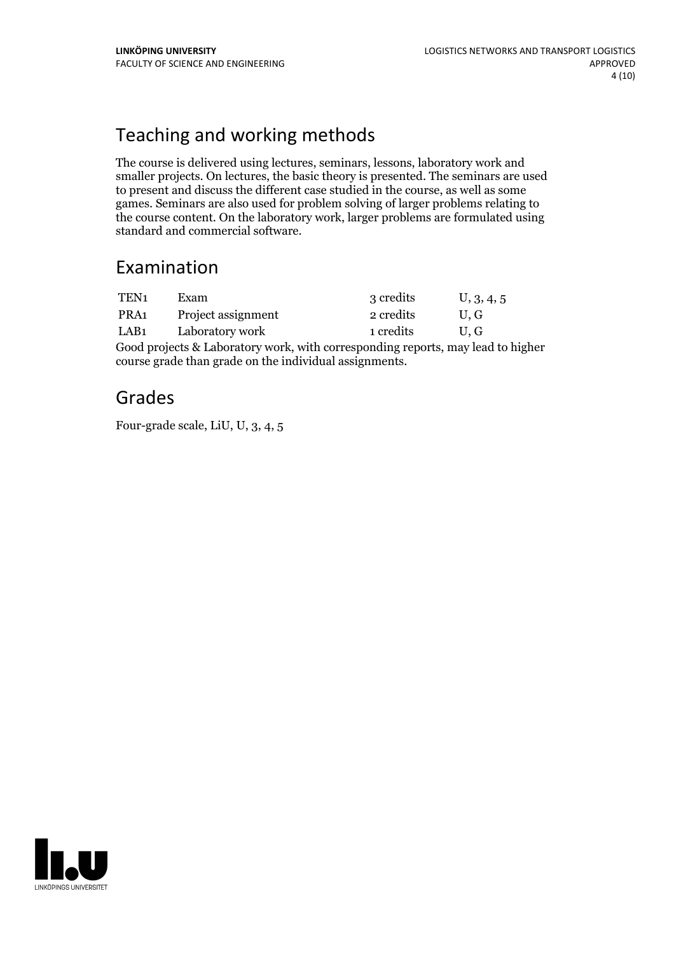## Teaching and working methods

The course is delivered using lectures, seminars, lessons, laboratory work and smaller projects. On lectures, the basic theory is presented. The seminars are used to present and discuss the different case studied in the course, as well as some games. Seminars are also used for problem solving of larger problems relating to the course content. On the laboratory work, larger problems are formulated using standard and commercial software.

## Examination

| TEN <sub>1</sub> | Exam.              | 3 credits | U, 3, 4, 5 |
|------------------|--------------------|-----------|------------|
| PRA <sub>1</sub> | Project assignment | 2 credits | U.G        |
| LAB <sub>1</sub> | Laboratory work    | 1 credits | U.G        |
| $\sim$ $\sim$    |                    |           |            |

Good projects & Laboratory work, with corresponding reports, may lead to higher course grade than grade on the individual assignments.

## Grades

Four-grade scale, LiU, U, 3, 4, 5

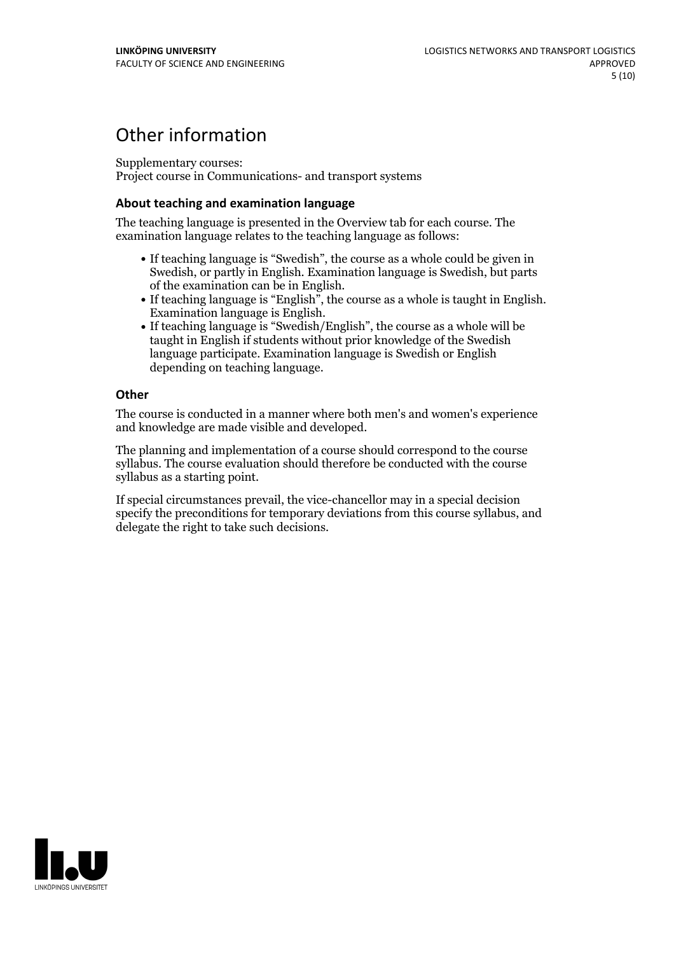## Other information

Supplementary courses:

Project course in Communications- and transport systems

#### **About teaching and examination language**

The teaching language is presented in the Overview tab for each course. The examination language relates to the teaching language as follows:

- If teaching language is "Swedish", the course as a whole could be given in Swedish, or partly in English. Examination language is Swedish, but parts
- of the examination can be in English. If teaching language is "English", the course as <sup>a</sup> whole is taught in English. Examination language is English. If teaching language is "Swedish/English", the course as <sup>a</sup> whole will be
- taught in English if students without prior knowledge of the Swedish language participate. Examination language is Swedish or English depending on teaching language.

### **Other**

The course is conducted in a manner where both men's and women's experience and knowledge are made visible and developed.

The planning and implementation of a course should correspond to the course syllabus. The course evaluation should therefore be conducted with the course syllabus as a starting point.

If special circumstances prevail, the vice-chancellor may in a special decision specify the preconditions for temporary deviations from this course syllabus, and delegate the right to take such decisions.

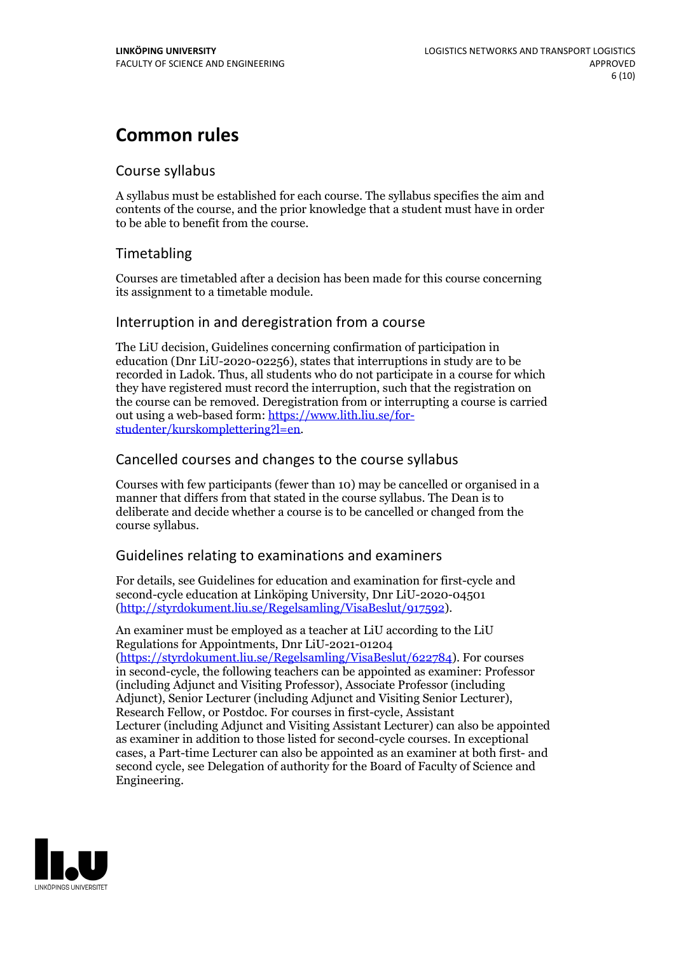## **Common rules**

### Course syllabus

A syllabus must be established for each course. The syllabus specifies the aim and contents of the course, and the prior knowledge that a student must have in order to be able to benefit from the course.

## Timetabling

Courses are timetabled after a decision has been made for this course concerning its assignment to a timetable module.

### Interruption in and deregistration from a course

The LiU decision, Guidelines concerning confirmation of participation in education (Dnr LiU-2020-02256), states that interruptions in study are to be recorded in Ladok. Thus, all students who do not participate in a course for which they have registered must record the interruption, such that the registration on the course can be removed. Deregistration from or interrupting a course is carried out using <sup>a</sup> web-based form: https://www.lith.liu.se/for- [studenter/kurskomplettering?l=en.](https://www.lith.liu.se/for-studenter/kurskomplettering?l=en)

## Cancelled courses and changes to the course syllabus

Courses with few participants (fewer than 10) may be cancelled or organised in a manner that differs from that stated in the course syllabus. The Dean is to deliberate and decide whether a course is to be cancelled or changed from the course syllabus.

## Guidelines relating to examinations and examiners

For details, see Guidelines for education and examination for first-cycle and second-cycle education at Linköping University, Dnr LiU-2020-04501 [\(http://styrdokument.liu.se/Regelsamling/VisaBeslut/917592\)](http://styrdokument.liu.se/Regelsamling/VisaBeslut/917592).

An examiner must be employed as a teacher at LiU according to the LiU Regulations for Appointments, Dnr LiU-2021-01204 [\(https://styrdokument.liu.se/Regelsamling/VisaBeslut/622784](https://styrdokument.liu.se/Regelsamling/VisaBeslut/622784)). For courses in second-cycle, the following teachers can be appointed as examiner: Professor (including Adjunct and Visiting Professor), Associate Professor (including Adjunct), Senior Lecturer (including Adjunct and Visiting Senior Lecturer), Research Fellow, or Postdoc. For courses in first-cycle, Assistant Lecturer (including Adjunct and Visiting Assistant Lecturer) can also be appointed as examiner in addition to those listed for second-cycle courses. In exceptional cases, a Part-time Lecturer can also be appointed as an examiner at both first- and second cycle, see Delegation of authority for the Board of Faculty of Science and Engineering.

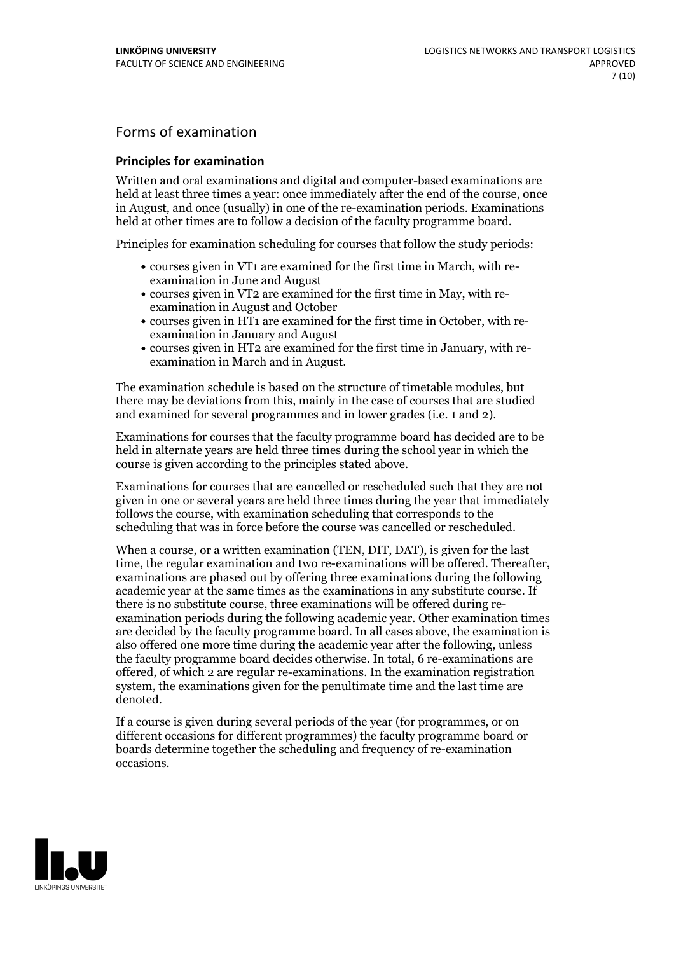## Forms of examination

#### **Principles for examination**

Written and oral examinations and digital and computer-based examinations are held at least three times a year: once immediately after the end of the course, once in August, and once (usually) in one of the re-examination periods. Examinations held at other times are to follow a decision of the faculty programme board.

Principles for examination scheduling for courses that follow the study periods:

- courses given in VT1 are examined for the first time in March, with re-examination in June and August
- courses given in VT2 are examined for the first time in May, with re-examination in August and October
- courses given in HT1 are examined for the first time in October, with re-examination in January and August
- courses given in HT2 are examined for the first time in January, with re-examination in March and in August.

The examination schedule is based on the structure of timetable modules, but there may be deviations from this, mainly in the case of courses that are studied and examined for several programmes and in lower grades (i.e. 1 and 2).

Examinations for courses that the faculty programme board has decided are to be held in alternate years are held three times during the school year in which the course is given according to the principles stated above.

Examinations for courses that are cancelled orrescheduled such that they are not given in one or several years are held three times during the year that immediately follows the course, with examination scheduling that corresponds to the scheduling that was in force before the course was cancelled or rescheduled.

When a course, or a written examination (TEN, DIT, DAT), is given for the last time, the regular examination and two re-examinations will be offered. Thereafter, examinations are phased out by offering three examinations during the following academic year at the same times as the examinations in any substitute course. If there is no substitute course, three examinations will be offered during re- examination periods during the following academic year. Other examination times are decided by the faculty programme board. In all cases above, the examination is also offered one more time during the academic year after the following, unless the faculty programme board decides otherwise. In total, 6 re-examinations are offered, of which 2 are regular re-examinations. In the examination registration system, the examinations given for the penultimate time and the last time are denoted.

If a course is given during several periods of the year (for programmes, or on different occasions for different programmes) the faculty programme board or boards determine together the scheduling and frequency of re-examination occasions.

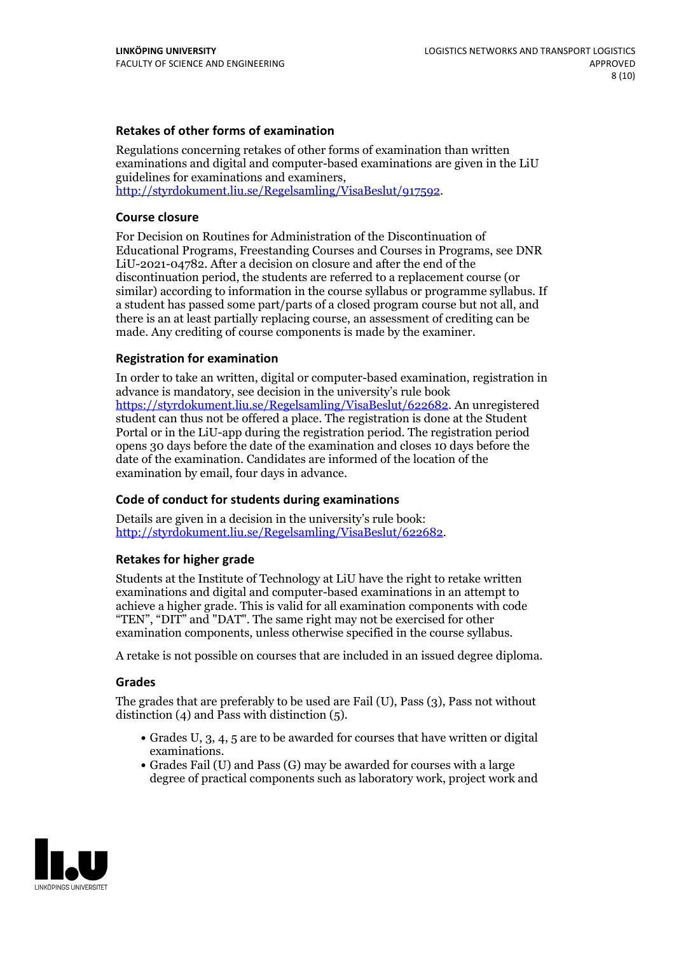### **Retakes of other forms of examination**

Regulations concerning retakes of other forms of examination than written examinations and digital and computer-based examinations are given in the LiU guidelines for examinations and examiners, [http://styrdokument.liu.se/Regelsamling/VisaBeslut/917592.](http://styrdokument.liu.se/Regelsamling/VisaBeslut/917592)

#### **Course closure**

For Decision on Routines for Administration of the Discontinuation of Educational Programs, Freestanding Courses and Courses in Programs, see DNR LiU-2021-04782. After a decision on closure and after the end of the discontinuation period, the students are referred to a replacement course (or similar) according to information in the course syllabus or programme syllabus. If a student has passed some part/parts of a closed program course but not all, and there is an at least partially replacing course, an assessment of crediting can be made. Any crediting of course components is made by the examiner.

### **Registration for examination**

In order to take an written, digital or computer-based examination, registration in advance is mandatory, see decision in the university's rule book [https://styrdokument.liu.se/Regelsamling/VisaBeslut/622682.](https://styrdokument.liu.se/Regelsamling/VisaBeslut/622682) An unregistered student can thus not be offered a place. The registration is done at the Student Portal or in the LiU-app during the registration period. The registration period opens 30 days before the date of the examination and closes 10 days before the date of the examination. Candidates are informed of the location of the examination by email, four days in advance.

### **Code of conduct for students during examinations**

Details are given in a decision in the university's rule book: <http://styrdokument.liu.se/Regelsamling/VisaBeslut/622682>.

#### **Retakes for higher grade**

Students at the Institute of Technology at LiU have the right to retake written examinations and digital and computer-based examinations in an attempt to achieve a higher grade. This is valid for all examination components with code "TEN", "DIT" and "DAT". The same right may not be exercised for other examination components, unless otherwise specified in the course syllabus.

A retake is not possible on courses that are included in an issued degree diploma.

#### **Grades**

The grades that are preferably to be used are Fail (U), Pass (3), Pass not without distinction  $(4)$  and Pass with distinction  $(5)$ .

- Grades U, 3, 4, 5 are to be awarded for courses that have written or digital examinations.<br>• Grades Fail (U) and Pass (G) may be awarded for courses with a large
- degree of practical components such as laboratory work, project work and

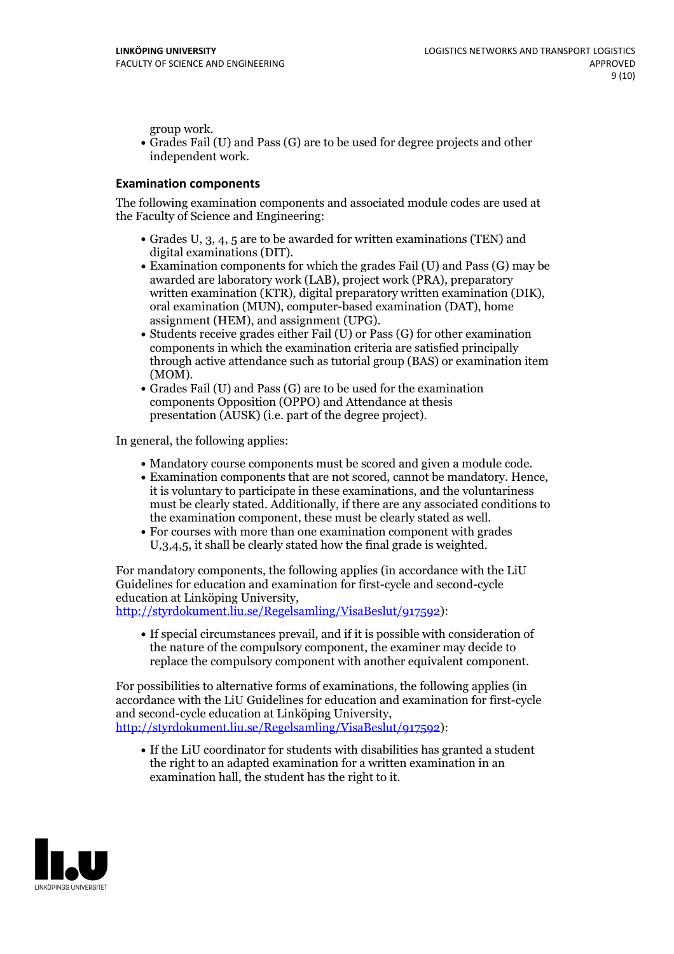group work.<br>• Grades Fail (U) and Pass (G) are to be used for degree projects and other independent work.

### **Examination components**

The following examination components and associated module codes are used at the Faculty of Science and Engineering:

- Grades U, 3, 4, 5 are to be awarded for written examinations (TEN) and
- digital examinations (DIT).<br>• Examination components for which the grades Fail (U) and Pass (G) may be awarded are laboratory work (LAB), project work (PRA), preparatory written examination (KTR), digital preparatory written examination (DIK), oral examination (MUN), computer-based examination (DAT), home
- assignment (HEM), and assignment (UPG).<br>• Students receive grades either Fail (U) or Pass (G) for other examination components in which the examination criteria are satisfied principally through active attendance such as tutorial group (BAS) or examination item
- (MOM).<br>• Grades Fail (U) and Pass (G) are to be used for the examination components Opposition (OPPO) and Attendance at thesis presentation (AUSK) (i.e. part of the degree project).

In general, the following applies:

- 
- Mandatory course components must be scored and given <sup>a</sup> module code. Examination components that are not scored, cannot be mandatory. Hence, it is voluntary to participate in these examinations, and the voluntariness must be clearly stated. Additionally, if there are any associated conditions to
- the examination component, these must be clearly stated as well.<br>• For courses with more than one examination component with grades U,3,4,5, it shall be clearly stated how the final grade is weighted.

For mandatory components, the following applies (in accordance with the LiU Guidelines for education and examination for first-cycle and second-cycle education at Linköping University,<br>[http://styrdokument.liu.se/Regelsamling/VisaBeslut/917592\)](http://styrdokument.liu.se/Regelsamling/VisaBeslut/917592):

If special circumstances prevail, and if it is possible with consideration of the nature of the compulsory component, the examiner may decide to replace the compulsory component with another equivalent component.

For possibilities to alternative forms of examinations, the following applies (in accordance with the LiU Guidelines for education and examination for first-cycle [http://styrdokument.liu.se/Regelsamling/VisaBeslut/917592\)](http://styrdokument.liu.se/Regelsamling/VisaBeslut/917592):

If the LiU coordinator for students with disabilities has granted a student the right to an adapted examination for a written examination in an examination hall, the student has the right to it.